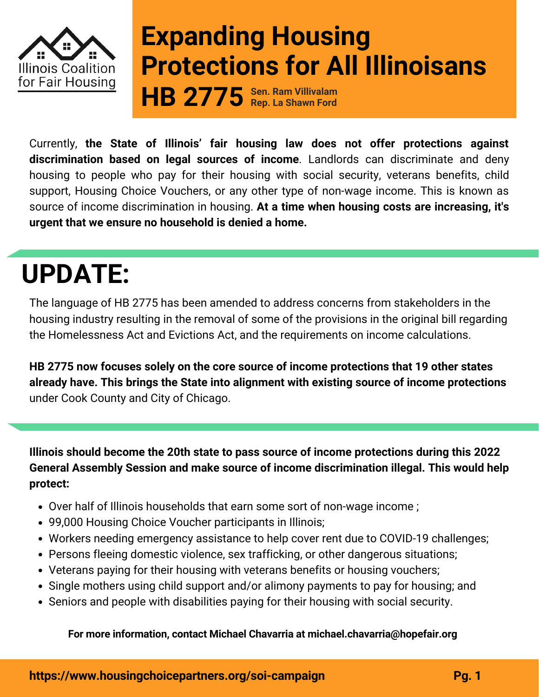

## **Expanding Housing Protections for All Illinoisans**

**Sen. Ram Villivalam Rep. La Shawn Ford HB 2775**

Currently, **the State of Illinois' fair housing law does not offer protections against discrimination based on legal sources of income**. Landlords can discriminate and deny housing to people who pay for their housing with social security, veterans benefits, child support, Housing Choice Vouchers, or any other type of non-wage income. This is known as source of income discrimination in housing. **At a time when housing costs are increasing, it's urgent that we ensure no household is denied a home.**

# **UPDATE:**

The language of HB 2775 has been amended to address concerns from stakeholders in the housing industry resulting in the removal of some of the provisions in the original bill regarding the Homelessness Act and Evictions Act, and the requirements on income calculations.

**HB 2775 now focuses solely on the core source of income protections that 19 other states already have. This brings the State into alignment with existing source of income protections** under Cook County and City of Chicago.

**Illinois should become the 20th state to pass source of income protections during this 2022 General Assembly Session and make source of income discrimination illegal. This would help protect:**

- Over half of Illinois households that earn some sort of non-wage income ;
- 99,000 Housing Choice Voucher participants in Illinois;
- Workers needing emergency assistance to help cover rent due to COVID-19 challenges;
- Persons fleeing domestic violence, sex trafficking, or other dangerous situations;
- Veterans paying for their housing with veterans benefits or housing vouchers;
- Single mothers using child support and/or alimony payments to pay for housing; and
- Seniors and people with disabilities paying for their housing with social security.

### **For more information, contact Michael [Chavarria](mailto:michael.chavarria@hopefair.org) at michael.chavarria@hopefair.org**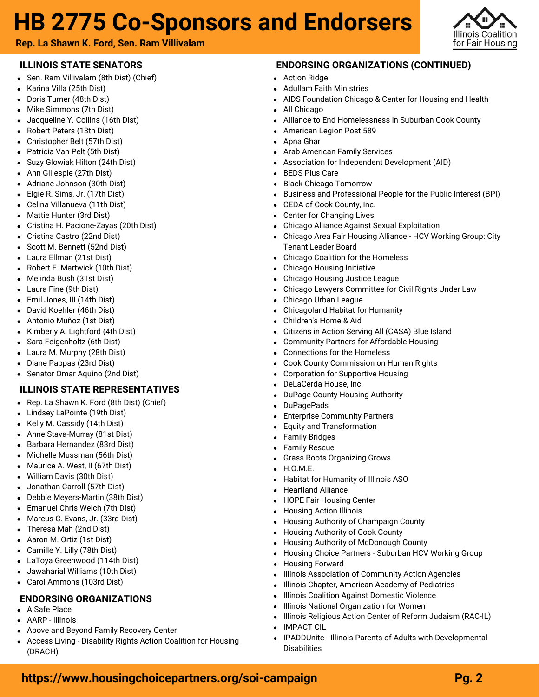### **HB 2775 Co-Sponsors and Endorsers**



**Rep. La Shawn K. Ford, Sen. Ram Villivalam**

### **ILLINOIS STATE SENATORS**

- Sen. [Ram Villivalam](https://ilga.gov/senate/Senator.asp?MemberID=2936) (8th Dist) (Chief)
- [Karina Villa](https://ilga.gov/senate/Senator.asp?MemberID=2987) (25th Dist)
- [Doris Turner](https://ilga.gov/senate/Senator.asp?MemberID=3009) (48th Dist)
- [Mike Simmons](https://ilga.gov/senate/Senator.asp?MemberID=3008) (7th Dist)
- [Jacqueline Y. Collins](https://ilga.gov/senate/Senator.asp?MemberID=2804) (16th Dist)
- [Robert Peters](https://ilga.gov/senate/Senator.asp?MemberID=2934) (13th Dist)  $\bullet$
- [Christopher Belt](https://ilga.gov/senate/Senator.asp?MemberID=2927) (57th Dist)
- [Patricia Van Pelt](https://ilga.gov/senate/Senator.asp?MemberID=2858) (5th Dist)
- [Suzy Glowiak Hilton](https://ilga.gov/senate/Senator.asp?MemberID=2932) (24th Dist[\)](https://ilga.gov/senate/Senator.asp?MemberID=2988)  $\bullet$
- [Ann Gillespie](https://ilga.gov/senate/Senator.asp?MemberID=2931) (27th Dist)  $\bullet$
- [Adriane Johnson](https://ilga.gov/senate/Senator.asp?MemberID=2980) (30th Dist)  $\bullet$
- [Elgie R. Sims, Jr.](https://ilga.gov/senate/Senator.asp?MemberID=2918) (17th Dist)
- [Celina Villanueva](https://ilga.gov/senate/Senator.asp?MemberID=2976) (11th Dist)  $\bullet$
- [Mattie Hunter](https://ilga.gov/senate/Senator.asp?MemberID=2808) (3rd Dist)
- [Cristina H. Pacione-Zayas](https://ilga.gov/senate/Senator.asp?MemberID=2983) (20th Dist)
- [Cristina Castro](https://ilga.gov/senate/Senator.asp?MemberID=2896) (22nd Dist)
- [Scott M. Bennett](https://ilga.gov/senate/Senator.asp?MemberID=2887) (52nd Dist)
- [Laura Ellman](https://ilga.gov/senate/Senator.asp?MemberID=2930) (21st Dist)  $\bullet$
- [Robert F. Martwick](https://ilga.gov/senate/Senator.asp?MemberID=2970) (10th Dist)
- [Melinda Bush](https://ilga.gov/senate/Senator.asp?MemberID=2848) (31st Dist)
- [Laura Fine](https://ilga.gov/senate/Senator.asp?MemberID=2929) (9th Dist)
- [Emil Jones, III](https://ilga.gov/senate/Senator.asp?MemberID=2823) (14th Dist)
- [David Koehler](https://ilga.gov/senate/Senator.asp?MemberID=2814) (46th Dist)
- Antonio Muñoz (1st Dist)
- Kimberly A. Lightford (4th Dist)
- Sara Feigenholtz (6th Dist)
- Laura M. Murphy (28th Dist)
- Diane Pappas (23rd Dist)
- Senator Omar Aquino (2nd Dist)

### **ILLINOIS STATE REPRESENTATIVES**

- Rep. [La Shawn K. For](https://ilga.gov/house/Rep.asp?MemberID=2815)d (8th Dist) (Chief)
- [Lindsey LaPointe](https://ilga.gov/house/Rep.asp?MemberID=2972) (19th Dist)
- [Kelly M. Cassidy](https://ilga.gov/house/Rep.asp?MemberID=2840) (14th Dist)
- [Anne Stava-Murray](https://ilga.gov/house/Rep.asp?MemberID=2941) (81st Dist)
- [Barbara Hernandez](https://ilga.gov/house/Rep.asp?MemberID=2967) (83rd Dist)
- [Michelle Mussman](https://ilga.gov/house/Rep.asp?MemberID=2835) (56th Dist)
- [Maurice A. West, II](https://ilga.gov/house/Rep.asp?MemberID=2937) (67th Dist)  $\bullet$
- [William Davis](https://ilga.gov/house/Rep.asp?MemberID=2801) (30th Dist)
- [Jonathan Carroll](https://ilga.gov/house/Rep.asp?MemberID=2916) (57th Dist)
- [Debbie Meyers-Martin](https://ilga.gov/house/Rep.asp?MemberID=2942) (38th Dist)
- [Emanuel Chris Welch](https://ilga.gov/house/Rep.asp?MemberID=2859) (7th Dist)
- [Marcus C. Evans, Jr.](https://ilga.gov/house/Rep.asp?MemberID=2843) (33rd Dist)
- [Theresa Mah](https://ilga.gov/house/Rep.asp?MemberID=2904) (2nd Dist)
- [Aaron M. Ortiz](https://ilga.gov/house/Rep.asp?MemberID=2953) (1st Dist)
- [Camille Y. Lilly](https://ilga.gov/house/Rep.asp?MemberID=2826) (78th Dist)
- [LaToya Greenwood](https://ilga.gov/house/Rep.asp?MemberID=2902) (114th Dist)
- [Jawaharial Williams](https://ilga.gov/house/Rep.asp?MemberID=2969) (10th Dist)
- Carol Ammons (103rd Dist)

### **ENDORSING ORGANIZATIONS**

- A Safe Place
- AARP Illinois
- Above and Beyond Family Recovery Center
- Access Living Disability Rights Action Coalition for Housing (DRACH)

### **ENDORSING ORGANIZATIONS (CONTINUED)**

- Action Ridge
- Adullam Faith Ministries
- AIDS Foundation Chicago & Center for Housing and Health
- All Chicago
- Alliance to End Homelessness in Suburban Cook County
- American Legion Post 589
- Apna Ghar
- Arab American Family Services
- Association for Independent Development (AID)
- BEDS Plus Care
- Black Chicago Tomorrow
- Business and Professional People for the Public Interest (BPI)
- CEDA of Cook County, Inc.
- Center for Changing Lives
- Chicago Alliance Against Sexual Exploitation
- Chicago Area Fair Housing Alliance HCV Working Group: City Tenant Leader Board
- Chicago Coalition for the Homeless
- Chicago Housing Initiative
- Chicago Housing Justice League
- Chicago Lawyers Committee for Civil Rights Under Law
- Chicago Urban League
- Chicagoland Habitat for Humanity
- Children's Home & Aid
- Citizens in Action Serving All (CASA) Blue Island
- Community Partners for Affordable Housing
- Connections for the Homeless
- Cook County Commission on Human Rights
- Corporation for Supportive Housing
- DeLaCerda House, Inc.
- DuPage County Housing Authority
- DuPagePads
- Enterprise Community Partners
- Equity and Transformation
- Family Bridges
- Family Rescue
- Grass Roots Organizing Grows
- H.O.M.E.
- Habitat for Humanity of Illinois ASO
- Heartland Alliance
- HOPE Fair Housing Center
- Housing Action Illinois

Housing Forward

 $\bullet$  $\bullet$ 

IMPACT CIL

**Disabilities** 

**<https://www.housingchoicepartners.org/soi-campaign> Pg. 2**

Housing Authority of Champaign County Housing Authority of Cook County

Housing Authority of McDonough County

Housing Choice Partners - Suburban HCV Working Group

Illinois Religious Action Center of Reform Judaism (RAC-IL)

IPADDUnite - Illinois Parents of Adults with Developmental

Illinois Association of Community Action Agencies Illinois Chapter, American Academy of Pediatrics Illinois Coalition Against Domestic Violence Illinois National Organization for Women